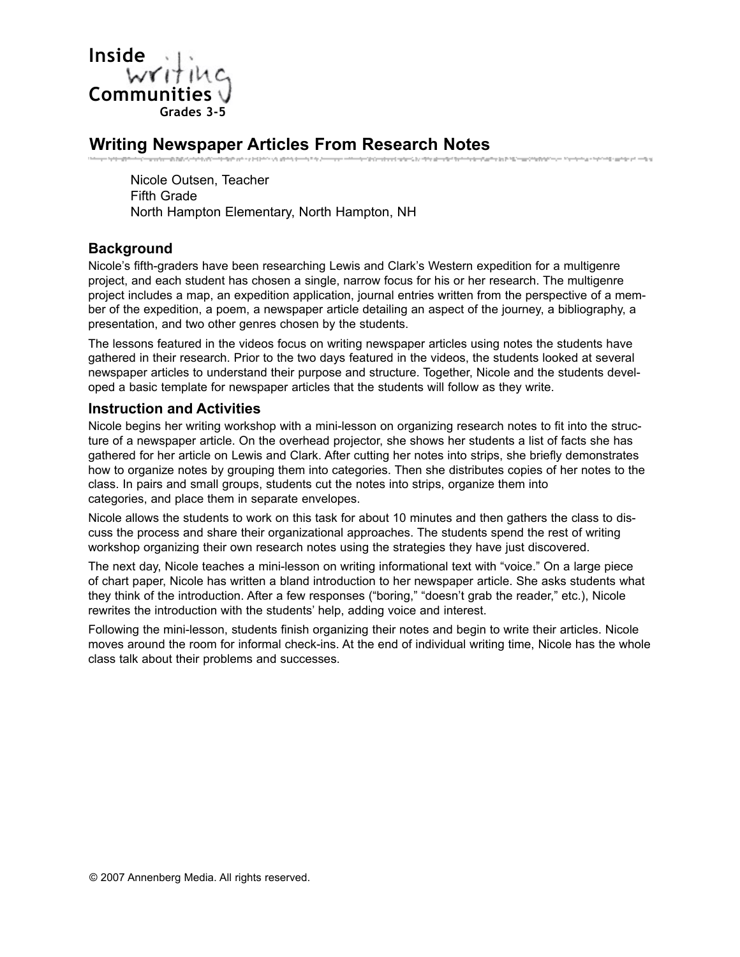

# **Writing Newspaper Articles From Research Notes**

Nicole Outsen, Teacher Fifth Grade North Hampton Elementary, North Hampton, NH

#### **Background**

Nicole's fifth-graders have been researching Lewis and Clark's Western expedition for a multigenre project, and each student has chosen a single, narrow focus for his or her research. The multigenre project includes a map, an expedition application, journal entries written from the perspective of a member of the expedition, a poem, a newspaper article detailing an aspect of the journey, a bibliography, a presentation, and two other genres chosen by the students.

The lessons featured in the videos focus on writing newspaper articles using notes the students have gathered in their research. Prior to the two days featured in the videos, the students looked at several newspaper articles to understand their purpose and structure. Together, Nicole and the students developed a basic template for newspaper articles that the students will follow as they write.

#### **Instruction and Activities**

Nicole begins her writing workshop with a mini-lesson on organizing research notes to fit into the structure of a newspaper article. On the overhead projector, she shows her students a list of facts she has gathered for her article on Lewis and Clark. After cutting her notes into strips, she briefly demonstrates how to organize notes by grouping them into categories. Then she distributes copies of her notes to the class. In pairs and small groups, students cut the notes into strips, organize them into categories, and place them in separate envelopes.

Nicole allows the students to work on this task for about 10 minutes and then gathers the class to discuss the process and share their organizational approaches. The students spend the rest of writing workshop organizing their own research notes using the strategies they have just discovered.

The next day, Nicole teaches a mini-lesson on writing informational text with "voice." On a large piece of chart paper, Nicole has written a bland introduction to her newspaper article. She asks students what they think of the introduction. After a few responses ("boring," "doesn't grab the reader," etc.), Nicole rewrites the introduction with the students' help, adding voice and interest.

Following the mini-lesson, students finish organizing their notes and begin to write their articles. Nicole moves around the room for informal check-ins. At the end of individual writing time, Nicole has the whole class talk about their problems and successes.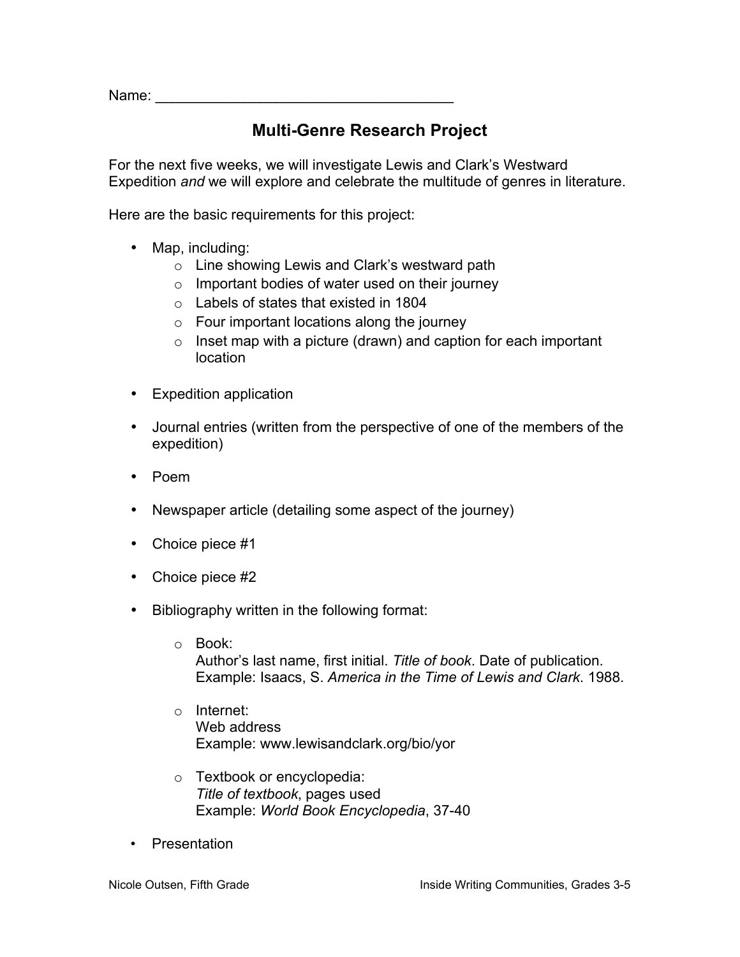Name:  $\blacksquare$ 

### **Multi-Genre Research Project**

For the next five weeks, we will investigate Lewis and Clark's Westward Expedition *and* we will explore and celebrate the multitude of genres in literature.

Here are the basic requirements for this project:

- Map, including:
	- o Line showing Lewis and Clark's westward path
	- $\circ$  Important bodies of water used on their journey
	- o Labels of states that existed in 1804
	- $\circ$  Four important locations along the journey
	- $\circ$  Inset map with a picture (drawn) and caption for each important location
- Expedition application
- Journal entries (written from the perspective of one of the members of the expedition)
- Poem
- Newspaper article (detailing some aspect of the journey)
- Choice piece #1
- Choice piece #2
- Bibliography written in the following format:
	- o Book: Author's last name, first initial. *Title of book*. Date of publication. Example: Isaacs, S. *America in the Time of Lewis and Clark*. 1988.
	- o Internet: Web address Example: www.lewisandclark.org/bio/yor
	- o Textbook or encyclopedia: *Title of textbook*, pages used Example: *World Book Encyclopedia*, 37-40
- **Presentation**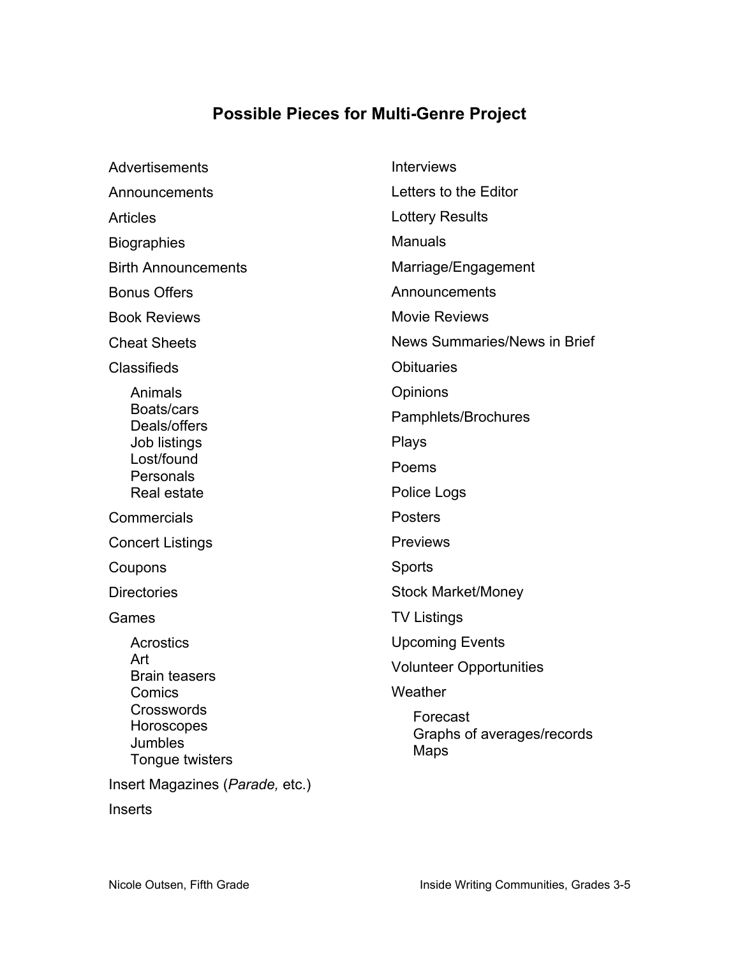## **Possible Pieces for Multi-Genre Project**

| Advertisements                                                | <b>Interviews</b>                              |
|---------------------------------------------------------------|------------------------------------------------|
| Announcements                                                 | Letters to the Editor                          |
| <b>Articles</b>                                               | <b>Lottery Results</b>                         |
| <b>Biographies</b>                                            | <b>Manuals</b>                                 |
| <b>Birth Announcements</b>                                    | Marriage/Engagement                            |
| <b>Bonus Offers</b>                                           | Announcements                                  |
| <b>Book Reviews</b>                                           | <b>Movie Reviews</b>                           |
| <b>Cheat Sheets</b>                                           | News Summaries/News in Brief                   |
| <b>Classifieds</b>                                            | <b>Obituaries</b>                              |
| Animals                                                       | Opinions                                       |
| Boats/cars<br>Deals/offers                                    | Pamphlets/Brochures                            |
| Job listings                                                  | <b>Plays</b>                                   |
| Lost/found<br>Personals                                       | Poems                                          |
| Real estate                                                   | Police Logs                                    |
| Commercials                                                   | <b>Posters</b>                                 |
| <b>Concert Listings</b>                                       | <b>Previews</b>                                |
| Coupons                                                       | Sports                                         |
| <b>Directories</b>                                            | <b>Stock Market/Money</b>                      |
| Games                                                         | <b>TV Listings</b>                             |
| Acrostics                                                     | <b>Upcoming Events</b>                         |
| Art<br><b>Brain teasers</b>                                   | <b>Volunteer Opportunities</b>                 |
| Comics                                                        | Weather                                        |
| Crosswords<br>Horoscopes<br><b>Jumbles</b><br>Tongue twisters | Forecast<br>Graphs of averages/records<br>Maps |
| Insert Magazines (Parade, etc.)                               |                                                |
| <b>Inserts</b>                                                |                                                |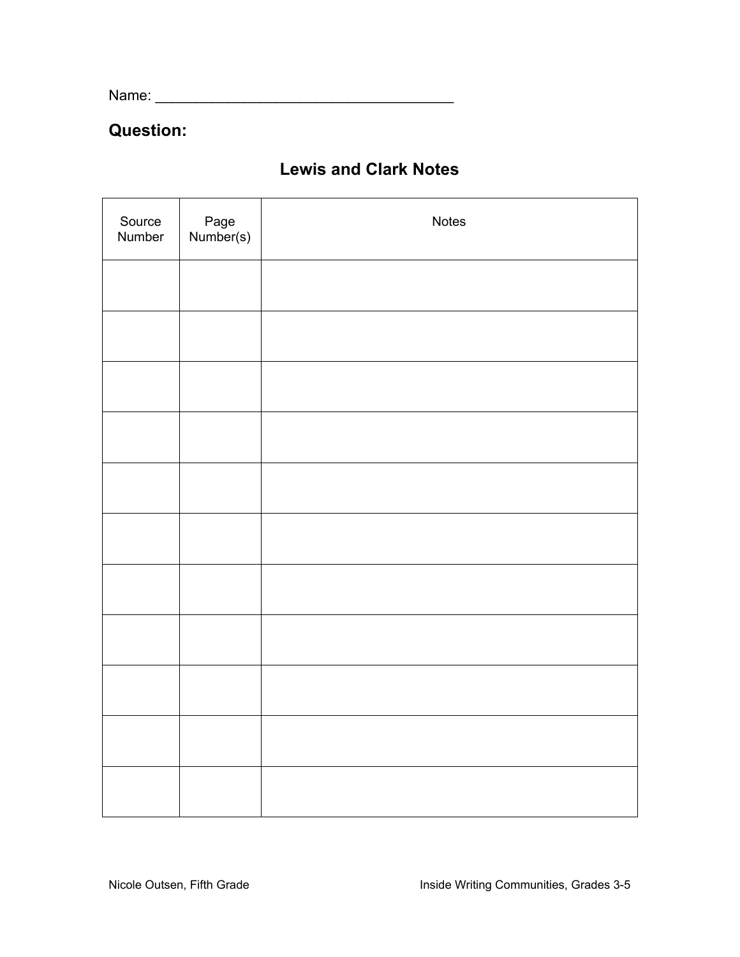Name: \_\_\_\_\_\_\_\_\_\_\_\_\_\_\_\_\_\_\_\_\_\_\_\_\_\_\_\_\_\_\_\_\_\_\_\_\_

### **Question:**

| Source<br>Number | Page<br>Number(s) | Notes |
|------------------|-------------------|-------|
|                  |                   |       |
|                  |                   |       |
|                  |                   |       |
|                  |                   |       |
|                  |                   |       |
|                  |                   |       |
|                  |                   |       |
|                  |                   |       |
|                  |                   |       |
|                  |                   |       |
|                  |                   |       |

## **Lewis and Clark Notes**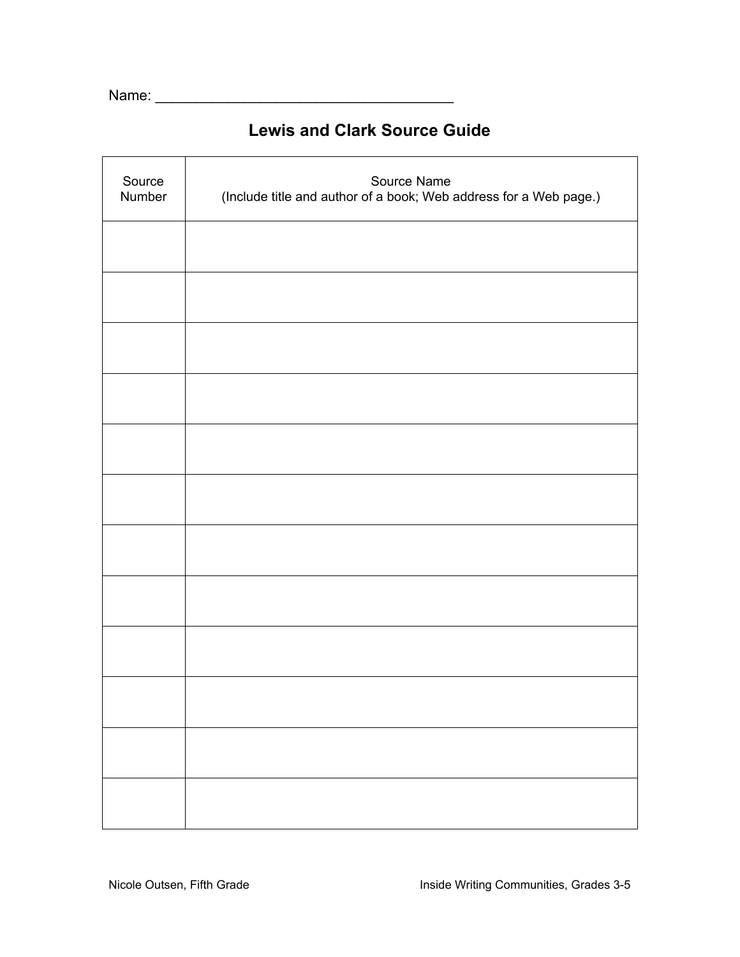Name: \_\_\_\_\_\_\_\_\_\_\_\_\_\_\_\_\_\_\_\_\_\_\_\_\_\_\_\_\_\_\_\_\_\_\_\_\_

## **Lewis and Clark Source Guide**

| Source<br>Number | Source Name<br>(Include title and author of a book; Web address for a Web page.) |
|------------------|----------------------------------------------------------------------------------|
|                  |                                                                                  |
|                  |                                                                                  |
|                  |                                                                                  |
|                  |                                                                                  |
|                  |                                                                                  |
|                  |                                                                                  |
|                  |                                                                                  |
|                  |                                                                                  |
|                  |                                                                                  |
|                  |                                                                                  |
|                  |                                                                                  |
|                  |                                                                                  |